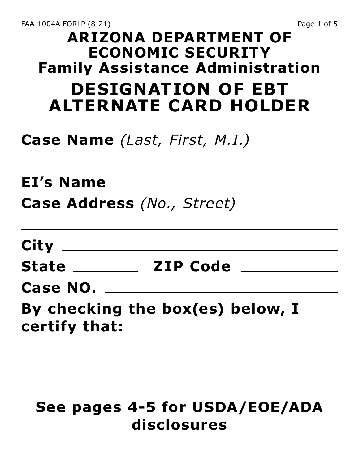## **ARIZONA DEPARTMENT OF ECONOMIC SECURITY Family Assistance Administration DESIGNATION OF EBT ALTERNATE CARD HOLDER**

# **Case Name** *(Last, First, M.I.)*

**EI's Name**

**Case Address** *(No., Street)*

**City**

**State \_\_\_\_\_\_\_\_\_\_\_\_ ZIP Code \_\_\_\_\_\_\_\_\_\_\_\_\_** 

**Case NO.**

**By checking the box(es) below, I certify that:**

### **See pages 4-5 for USDA/EOE/ADA disclosures**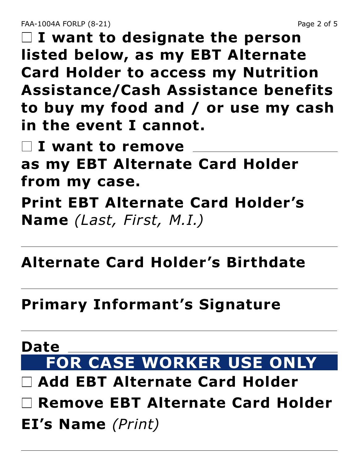**I want to designate the person listed below, as my EBT Alternate Card Holder to access my Nutrition Assistance/Cash Assistance benefits to buy my food and / or use my cash in the event I cannot.**

 **I want to remove as my EBT Alternate Card Holder from my case. Print EBT Alternate Card Holder's Name** *(Last, First, M.I.)*

#### **Alternate Card Holder's Birthdate**

**Primary Informant's Signature**

# **Date FOR CASE WORKER USE ONLY**

- **Add EBT Alternate Card Holder**
- **Remove EBT Alternate Card Holder**
- **EI's Name** *(Print)*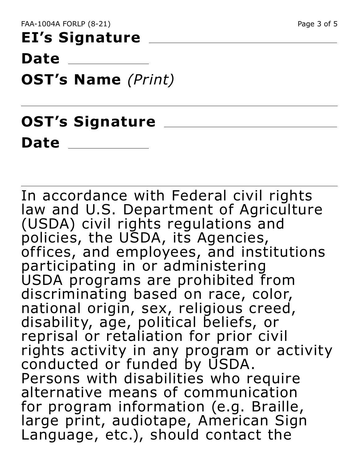# **EI's Signature**

**Date**

**OST's Name** *(Print)*

# **OST's Signature Date**

In accordance with Federal civil rights law and U.S. Department of Agriculture (USDA) civil rights regulations and policies, the USDA, its Agencies, offices, and employees, and institutions participating in or administering USDA programs are prohibited from discriminating based on race, color, national origin, sex, religious creed, disability, age, political beliefs, or reprisal or retaliation for prior civil rights activity in any program or activity conducted or funded by USDA. Persons with disabilities who require alternative means of communication for program information (e.g. Braille, large print, audiotape, American Sign Language, etc.), should contact the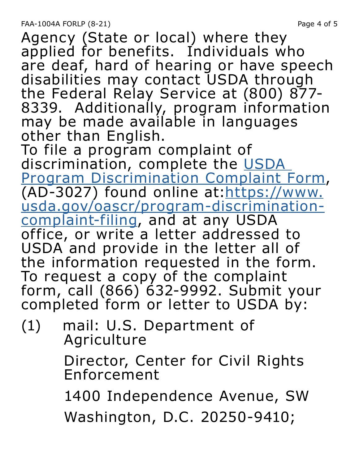Agency (State or local) where they applied for benefits. Individuals who are deaf, hard of hearing or have speech disabilities may contact USDA through the Federal Relay Service at (800) 877- 8339. Additionally, program information may be made available in languages other than English.

To file a program complaint of discrimination, complete the USDA [Program Discrimination Complaint Form](https://www.usda.gov/oascr/program-discrimination-complaint-filing), (AD-3027) found online at: https://www. [usda.gov/oascr/program-discrimination](https://www.usda.gov/oascr/program-discrimination-complaint-filing)[complaint-filing](https://www.usda.gov/oascr/program-discrimination-complaint-filing), and at any USDA office, or write a letter addressed to USDA and provide in the letter all of the information requested in the form. To request a copy of the complaint form, call (866) 632-9992. Submit your completed form or letter to USDA by:

(1) mail: U.S. Department of Agriculture

> Director, Center for Civil Rights Enforcement

1400 Independence Avenue, SW

Washington, D.C. 20250-9410;